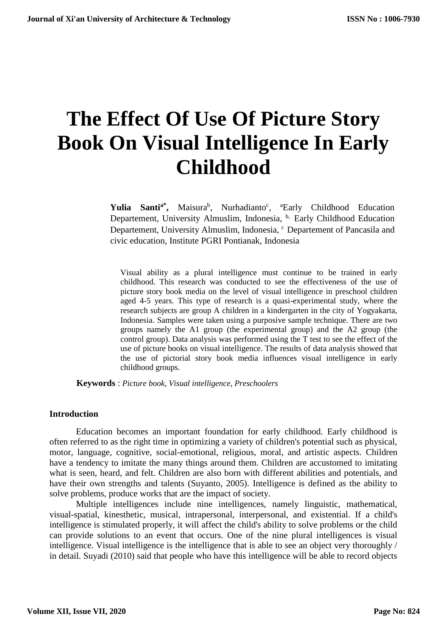# **The Effect Of Use Of Picture Story Book On Visual Intelligence In Early Childhood**

Yulia Santi<sup>a\*</sup>, Maisura<sup>b</sup>, Nurhadianto<sup>c</sup>, <sup>a</sup>Early Childhood Education Departement, University Almuslim, Indonesia, <sup>b,</sup> Early Childhood Education Departement, University Almuslim, Indonesia, <sup>c</sup> Departement of Pancasila and civic education, Institute PGRI Pontianak, Indonesia

Visual ability as a plural intelligence must continue to be trained in early childhood. This research was conducted to see the effectiveness of the use of picture story book media on the level of visual intelligence in preschool children aged 4-5 years. This type of research is a quasi-experimental study, where the research subjects are group A children in a kindergarten in the city of Yogyakarta, Indonesia. Samples were taken using a purposive sample technique. There are two groups namely the A1 group (the experimental group) and the A2 group (the control group). Data analysis was performed using the T test to see the effect of the use of picture books on visual intelligence. The results of data analysis showed that the use of pictorial story book media influences visual intelligence in early childhood groups.

**Keywords** : *Picture book, Visual intelligence, Preschoolers*

#### **Introduction**

Education becomes an important foundation for early childhood. Early childhood is often referred to as the right time in optimizing a variety of children's potential such as physical, motor, language, cognitive, social-emotional, religious, moral, and artistic aspects. Children have a tendency to imitate the many things around them. Children are accustomed to imitating what is seen, heard, and felt. Children are also born with different abilities and potentials, and have their own strengths and talents (Suyanto, 2005). Intelligence is defined as the ability to solve problems, produce works that are the impact of society.

Multiple intelligences include nine intelligences, namely linguistic, mathematical, visual-spatial, kinesthetic, musical, intrapersonal, interpersonal, and existential. If a child's intelligence is stimulated properly, it will affect the child's ability to solve problems or the child can provide solutions to an event that occurs. One of the nine plural intelligences is visual intelligence. Visual intelligence is the intelligence that is able to see an object very thoroughly / in detail. Suyadi (2010) said that people who have this intelligence will be able to record objects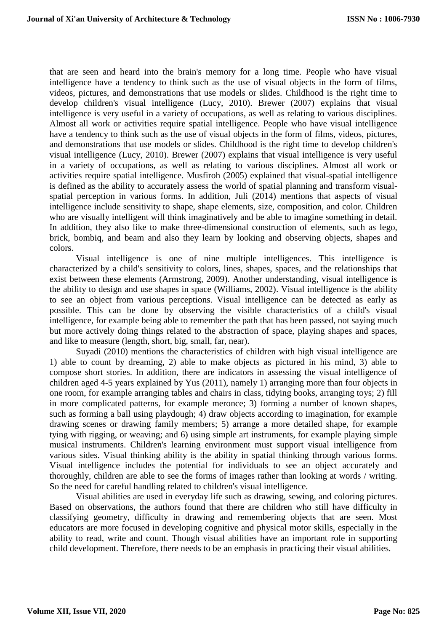that are seen and heard into the brain's memory for a long time. People who have visual intelligence have a tendency to think such as the use of visual objects in the form of films, videos, pictures, and demonstrations that use models or slides. Childhood is the right time to develop children's visual intelligence (Lucy, 2010). Brewer (2007) explains that visual intelligence is very useful in a variety of occupations, as well as relating to various disciplines. Almost all work or activities require spatial intelligence. People who have visual intelligence have a tendency to think such as the use of visual objects in the form of films, videos, pictures, and demonstrations that use models or slides. Childhood is the right time to develop children's visual intelligence (Lucy, 2010). Brewer (2007) explains that visual intelligence is very useful in a variety of occupations, as well as relating to various disciplines. Almost all work or activities require spatial intelligence. Musfiroh (2005) explained that visual-spatial intelligence is defined as the ability to accurately assess the world of spatial planning and transform visualspatial perception in various forms. In addition, Juli (2014) mentions that aspects of visual intelligence include sensitivity to shape, shape elements, size, composition, and color. Children who are visually intelligent will think imaginatively and be able to imagine something in detail. In addition, they also like to make three-dimensional construction of elements, such as lego, brick, bombiq, and beam and also they learn by looking and observing objects, shapes and colors.

Visual intelligence is one of nine multiple intelligences. This intelligence is characterized by a child's sensitivity to colors, lines, shapes, spaces, and the relationships that exist between these elements (Armstrong, 2009). Another understanding, visual intelligence is the ability to design and use shapes in space (Williams, 2002). Visual intelligence is the ability to see an object from various perceptions. Visual intelligence can be detected as early as possible. This can be done by observing the visible characteristics of a child's visual intelligence, for example being able to remember the path that has been passed, not saying much but more actively doing things related to the abstraction of space, playing shapes and spaces, and like to measure (length, short, big, small, far, near).

Suyadi (2010) mentions the characteristics of children with high visual intelligence are 1) able to count by dreaming, 2) able to make objects as pictured in his mind, 3) able to compose short stories. In addition, there are indicators in assessing the visual intelligence of children aged 4-5 years explained by Yus (2011), namely 1) arranging more than four objects in one room, for example arranging tables and chairs in class, tidying books, arranging toys; 2) fill in more complicated patterns, for example meronce; 3) forming a number of known shapes, such as forming a ball using playdough; 4) draw objects according to imagination, for example drawing scenes or drawing family members; 5) arrange a more detailed shape, for example tying with rigging, or weaving; and 6) using simple art instruments, for example playing simple musical instruments. Children's learning environment must support visual intelligence from various sides. Visual thinking ability is the ability in spatial thinking through various forms. Visual intelligence includes the potential for individuals to see an object accurately and thoroughly, children are able to see the forms of images rather than looking at words / writing. So the need for careful handling related to children's visual intelligence.

Visual abilities are used in everyday life such as drawing, sewing, and coloring pictures. Based on observations, the authors found that there are children who still have difficulty in classifying geometry, difficulty in drawing and remembering objects that are seen. Most educators are more focused in developing cognitive and physical motor skills, especially in the ability to read, write and count. Though visual abilities have an important role in supporting child development. Therefore, there needs to be an emphasis in practicing their visual abilities.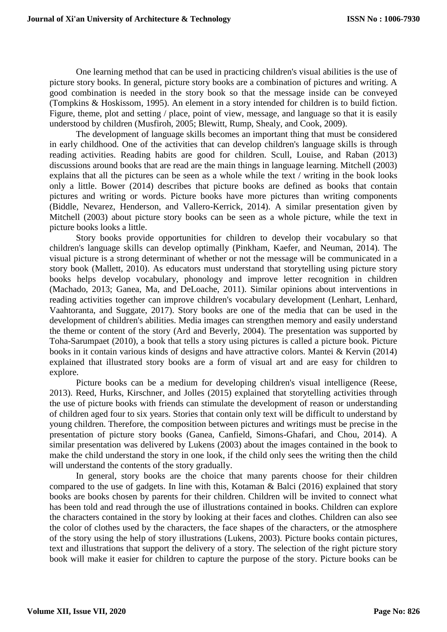One learning method that can be used in practicing children's visual abilities is the use of picture story books. In general, picture story books are a combination of pictures and writing. A good combination is needed in the story book so that the message inside can be conveyed (Tompkins & Hoskissom, 1995). An element in a story intended for children is to build fiction. Figure, theme, plot and setting / place, point of view, message, and language so that it is easily understood by children (Musfiroh, 2005; Blewitt, Rump, Shealy, and Cook, 2009).

The development of language skills becomes an important thing that must be considered in early childhood. One of the activities that can develop children's language skills is through reading activities. Reading habits are good for children. Scull, Louise, and Raban (2013) discussions around books that are read are the main things in language learning. Mitchell (2003) explains that all the pictures can be seen as a whole while the text / writing in the book looks only a little. Bower (2014) describes that picture books are defined as books that contain pictures and writing or words. Picture books have more pictures than writing components (Biddle, Nevarez, Henderson, and Vallero-Kerrick, 2014). A similar presentation given by Mitchell (2003) about picture story books can be seen as a whole picture, while the text in picture books looks a little.

Story books provide opportunities for children to develop their vocabulary so that children's language skills can develop optimally (Pinkham, Kaefer, and Neuman, 2014). The visual picture is a strong determinant of whether or not the message will be communicated in a story book (Mallett, 2010). As educators must understand that storytelling using picture story books helps develop vocabulary, phonology and improve letter recognition in children (Machado, 2013; Ganea, Ma, and DeLoache, 2011). Similar opinions about interventions in reading activities together can improve children's vocabulary development (Lenhart, Lenhard, Vaahtoranta, and Suggate, 2017). Story books are one of the media that can be used in the development of children's abilities. Media images can strengthen memory and easily understand the theme or content of the story (Ard and Beverly, 2004). The presentation was supported by Toha-Sarumpaet (2010), a book that tells a story using pictures is called a picture book. Picture books in it contain various kinds of designs and have attractive colors. Mantei & Kervin (2014) explained that illustrated story books are a form of visual art and are easy for children to explore.

Picture books can be a medium for developing children's visual intelligence (Reese, 2013). Reed, Hurks, Kirschner, and Jolles (2015) explained that storytelling activities through the use of picture books with friends can stimulate the development of reason or understanding of children aged four to six years. Stories that contain only text will be difficult to understand by young children. Therefore, the composition between pictures and writings must be precise in the presentation of picture story books (Ganea, Canfield, Simons-Ghafari, and Chou, 2014). A similar presentation was delivered by Lukens (2003) about the images contained in the book to make the child understand the story in one look, if the child only sees the writing then the child will understand the contents of the story gradually.

In general, story books are the choice that many parents choose for their children compared to the use of gadgets. In line with this, Kotaman & Balci (2016) explained that story books are books chosen by parents for their children. Children will be invited to connect what has been told and read through the use of illustrations contained in books. Children can explore the characters contained in the story by looking at their faces and clothes. Children can also see the color of clothes used by the characters, the face shapes of the characters, or the atmosphere of the story using the help of story illustrations (Lukens, 2003). Picture books contain pictures, text and illustrations that support the delivery of a story. The selection of the right picture story book will make it easier for children to capture the purpose of the story. Picture books can be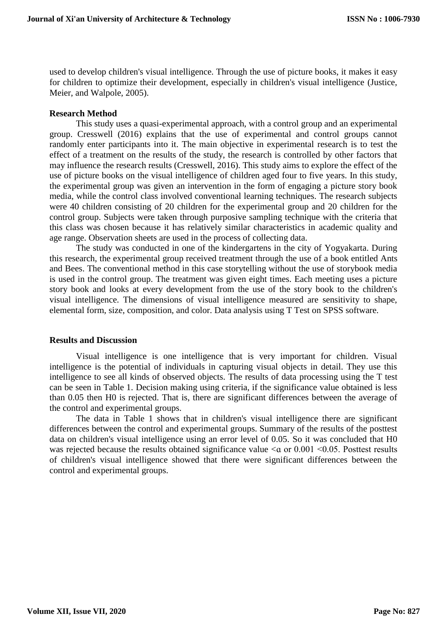used to develop children's visual intelligence. Through the use of picture books, it makes it easy for children to optimize their development, especially in children's visual intelligence (Justice, Meier, and Walpole, 2005).

## **Research Method**

This study uses a quasi-experimental approach, with a control group and an experimental group. Cresswell (2016) explains that the use of experimental and control groups cannot randomly enter participants into it. The main objective in experimental research is to test the effect of a treatment on the results of the study, the research is controlled by other factors that may influence the research results (Cresswell, 2016). This study aims to explore the effect of the use of picture books on the visual intelligence of children aged four to five years. In this study, the experimental group was given an intervention in the form of engaging a picture story book media, while the control class involved conventional learning techniques. The research subjects were 40 children consisting of 20 children for the experimental group and 20 children for the control group. Subjects were taken through purposive sampling technique with the criteria that this class was chosen because it has relatively similar characteristics in academic quality and age range. Observation sheets are used in the process of collecting data.

The study was conducted in one of the kindergartens in the city of Yogyakarta. During this research, the experimental group received treatment through the use of a book entitled Ants and Bees. The conventional method in this case storytelling without the use of storybook media is used in the control group. The treatment was given eight times. Each meeting uses a picture story book and looks at every development from the use of the story book to the children's visual intelligence. The dimensions of visual intelligence measured are sensitivity to shape, elemental form, size, composition, and color. Data analysis using T Test on SPSS software.

#### **Results and Discussion**

Visual intelligence is one intelligence that is very important for children. Visual intelligence is the potential of individuals in capturing visual objects in detail. They use this intelligence to see all kinds of observed objects. The results of data processing using the T test can be seen in Table 1. Decision making using criteria, if the significance value obtained is less than 0.05 then H0 is rejected. That is, there are significant differences between the average of the control and experimental groups.

The data in Table 1 shows that in children's visual intelligence there are significant differences between the control and experimental groups. Summary of the results of the posttest data on children's visual intelligence using an error level of 0.05. So it was concluded that H0 was rejected because the results obtained significance value  $\alpha$  or 0.001  $\leq$  0.05. Posttest results of children's visual intelligence showed that there were significant differences between the control and experimental groups.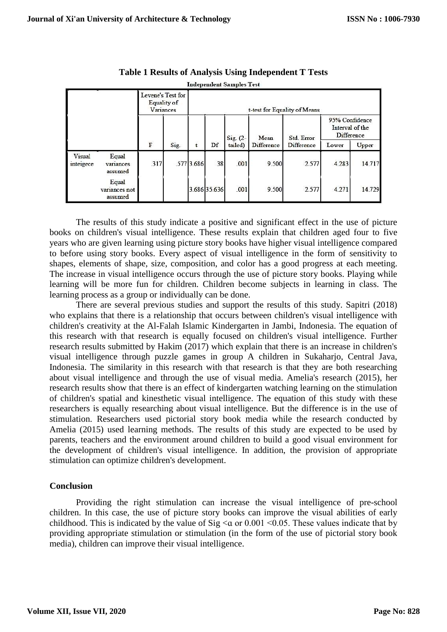|                     |                                   |                                               |      |                              |              | <b>Independent Samples Test</b> |                    |                          |                                                 |        |
|---------------------|-----------------------------------|-----------------------------------------------|------|------------------------------|--------------|---------------------------------|--------------------|--------------------------|-------------------------------------------------|--------|
|                     |                                   | Levene's Test for<br>Equality of<br>Variances |      | t-test for Equality of Means |              |                                 |                    |                          |                                                 |        |
|                     |                                   | $\rm F$                                       | Sig. | t                            | Df           | $Sig. (2-$<br>tailed)           | Mean<br>Difference | Std. Error<br>Difference | 95% Confidence<br>Interval of the<br>Difference |        |
|                     |                                   |                                               |      |                              |              |                                 |                    |                          | Lower                                           | Upper  |
| Visual<br>inteigece | Equal<br>variances<br>assumed     | 317                                           |      | .577 3.686                   | 38           | .001                            | 9.500              | 2.577                    | 4.283                                           | 14.717 |
|                     | Equal<br>variances not<br>assumed |                                               |      |                              | 3.686 35.636 | .001                            | 9.500              | 2.577                    | 4.271                                           | 14.729 |

**Table 1 Results of Analysis Using Independent T Tests** 

The results of this study indicate a positive and significant effect in the use of picture books on children's visual intelligence. These results explain that children aged four to five years who are given learning using picture story books have higher visual intelligence compared to before using story books. Every aspect of visual intelligence in the form of sensitivity to shapes, elements of shape, size, composition, and color has a good progress at each meeting. The increase in visual intelligence occurs through the use of picture story books. Playing while learning will be more fun for children. Children become subjects in learning in class. The learning process as a group or individually can be done.

There are several previous studies and support the results of this study. Sapitri (2018) who explains that there is a relationship that occurs between children's visual intelligence with children's creativity at the Al-Falah Islamic Kindergarten in Jambi, Indonesia. The equation of this research with that research is equally focused on children's visual intelligence. Further research results submitted by Hakim (2017) which explain that there is an increase in children's visual intelligence through puzzle games in group A children in Sukaharjo, Central Java, Indonesia. The similarity in this research with that research is that they are both researching about visual intelligence and through the use of visual media. Amelia's research (2015), her research results show that there is an effect of kindergarten watching learning on the stimulation of children's spatial and kinesthetic visual intelligence. The equation of this study with these researchers is equally researching about visual intelligence. But the difference is in the use of stimulation. Researchers used pictorial story book media while the research conducted by Amelia (2015) used learning methods. The results of this study are expected to be used by parents, teachers and the environment around children to build a good visual environment for the development of children's visual intelligence. In addition, the provision of appropriate stimulation can optimize children's development.

## **Conclusion**

Providing the right stimulation can increase the visual intelligence of pre-school children. In this case, the use of picture story books can improve the visual abilities of early childhood. This is indicated by the value of  $Sig < a$  or 0.001 < 0.05. These values indicate that by providing appropriate stimulation or stimulation (in the form of the use of pictorial story book media), children can improve their visual intelligence.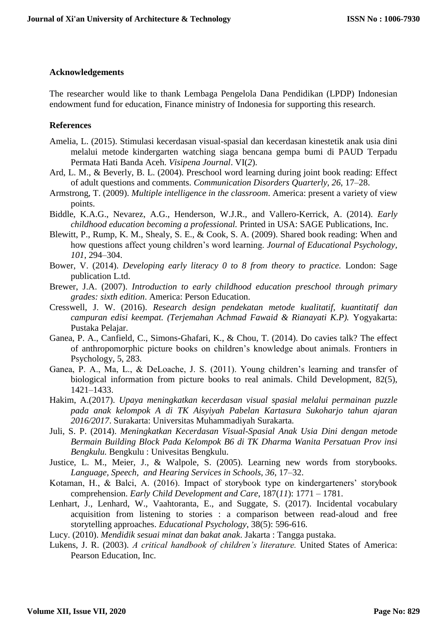## **Acknowledgements**

The researcher would like to thank Lembaga Pengelola Dana Pendidikan (LPDP) Indonesian endowment fund for education, Finance ministry of Indonesia for supporting this research.

# **References**

- Amelia, L. (2015). Stimulasi kecerdasan visual-spasial dan kecerdasan kinestetik anak usia dini melalui metode kindergarten watching siaga bencana gempa bumi di PAUD Terpadu Permata Hati Banda Aceh. *Visipena Journal*. VI(*2*).
- Ard, L. M., & Beverly, B. L. (2004). Preschool word learning during joint book reading: Effect of adult questions and comments. *Communication Disorders Quarterly, 26*, 17–28.
- Armstrong, T. (2009). *Multiple intelligence in the classroom*. America: present a variety of view points.
- Biddle, K.A.G., Nevarez, A.G., Henderson, W.J.R., and Vallero-Kerrick, A. (2014). *Early childhood education becoming a professional.* Printed in USA: SAGE Publications, Inc.
- Blewitt, P., Rump, K. M., Shealy, S. E., & Cook, S. A. (2009). Shared book reading: When and how questions affect young children's word learning. *Journal of Educational Psychology, 101*, 294–304.
- Bower, V. (2014). *Developing early literacy 0 to 8 from theory to practice.* London: Sage publication L.td.
- Brewer, J.A. (2007). *Introduction to early childhood education preschool through primary grades: sixth edition*. America: Person Education.
- Cresswell, J. W. (2016). *Research design pendekatan metode kualitatif, kuantitatif dan campuran edisi keempat. (Terjemahan Achmad Fawaid & Rianayati K.P).* Yogyakarta: Pustaka Pelajar.
- Ganea, P. A., Canfield, C., Simons-Ghafari, K., & Chou, T. (2014). Do cavies talk? The effect of anthropomorphic picture books on children's knowledge about animals. Frontıers in Psychology, 5, 283.
- Ganea, P. A., Ma, L., & DeLoache, J. S. (2011). Young children's learning and transfer of biological information from picture books to real animals. Child Development, 82(5), 1421–1433.
- Hakim, A.(2017). *Upaya meningkatkan kecerdasan visual spasial melalui permainan puzzle pada anak kelompok A di TK Aisyiyah Pabelan Kartasura Sukoharjo tahun ajaran 2016/2017*. Surakarta: Universitas Muhammadiyah Surakarta.
- Juli, S. P. (2014). *Meningkatkan Kecerdasan Visual-Spasial Anak Usia Dini dengan metode Bermain Building Block Pada Kelompok B6 di TK Dharma Wanita Persatuan Prov insi Bengkulu.* Bengkulu : Univesitas Bengkulu.
- Justice, L. M., Meier, J., & Walpole, S. (2005). Learning new words from storybooks. *Language, Speech, and Hearing Services in Schools, 36*, 17–32.
- Kotaman, H., & Balci, A. (2016). Impact of storybook type on kindergarteners' storybook comprehension. *Early Child Development and Care*, 187(*11*): 1771 – 1781.
- Lenhart, J., Lenhard, W., Vaahtoranta, E., and Suggate, S. (2017). Incidental vocabulary acquisition from listening to stories : a comparison between read-aloud and free storytelling approaches. *Educational Psychology*, 38(5): 596-616.
- Lucy. (2010). *Mendidik sesuai minat dan bakat anak*. Jakarta : Tangga pustaka.
- Lukens, J. R. (2003). *A critical handbook of children's literature.* United States of America: Pearson Education, Inc.